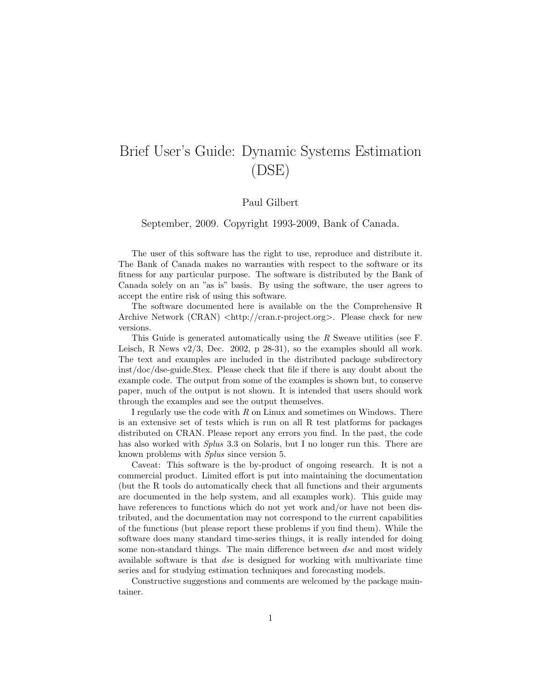# Brief User's Guide: Dynamic Systems Estimation (DSE)

### Paul Gilbert

September, 2009. Copyright 1993-2009, Bank of Canada.

The user of this software has the right to use, reproduce and distribute it. The Bank of Canada makes no warranties with respect to the software or its fitness for any particular purpose. The software is distributed by the Bank of Canada solely on an "as is" basis. By using the software, the user agrees to accept the entire risk of using this software.

The software documented here is available on the the Comprehensive R Archive Network (CRAN) <http://cran.r-project.org>. Please check for new versions.

This Guide is generated automatically using the R Sweave utilities (see F. Leisch, R News  $v2/3$ , Dec. 2002, p 28-31), so the examples should all work. The text and examples are included in the distributed package subdirectory inst/doc/dse-guide.Stex. Please check that file if there is any doubt about the example code. The output from some of the examples is shown but, to conserve paper, much of the output is not shown. It is intended that users should work through the examples and see the output themselves.

I regularly use the code with  $R$  on Linux and sometimes on Windows. There is an extensive set of tests which is run on all R test platforms for packages distributed on CRAN. Please report any errors you find. In the past, the code has also worked with *Splus* 3.3 on Solaris, but I no longer run this. There are known problems with Splus since version 5.

Caveat: This software is the by-product of ongoing research. It is not a commercial product. Limited effort is put into maintaining the documentation (but the R tools do automatically check that all functions and their arguments are documented in the help system, and all examples work). This guide may have references to functions which do not yet work and/or have not been distributed, and the documentation may not correspond to the current capabilities of the functions (but please report these problems if you find them). While the software does many standard time-series things, it is really intended for doing some non-standard things. The main difference between dse and most widely available software is that *dse* is designed for working with multivariate time series and for studying estimation techniques and forecasting models.

Constructive suggestions and comments are welcomed by the package maintainer.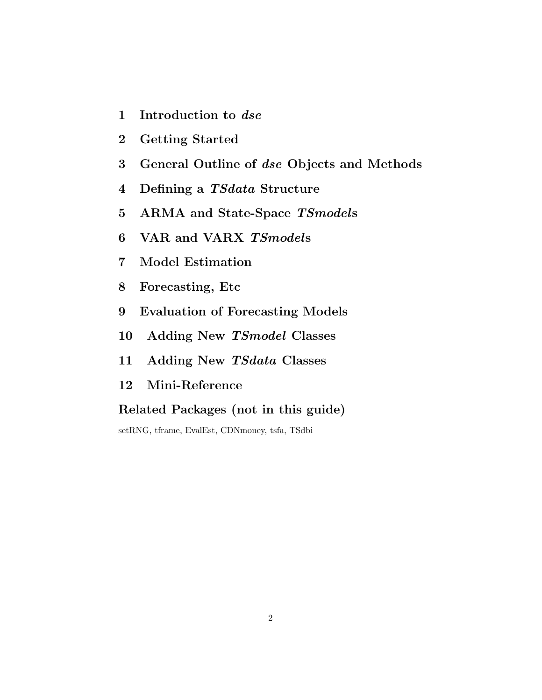- 1 Introduction to dse
- 2 Getting Started
- 3 General Outline of dse Objects and Methods
- 4 Defining a TSdata Structure
- 5 ARMA and State-Space TSmodels
- 6 VAR and VARX TSmodels
- 7 Model Estimation
- 8 Forecasting, Etc
- 9 Evaluation of Forecasting Models
- 10 Adding New TSmodel Classes
- 11 Adding New TSdata Classes
- 12 Mini-Reference

# Related Packages (not in this guide)

setRNG, tframe, EvalEst, CDNmoney, tsfa, TSdbi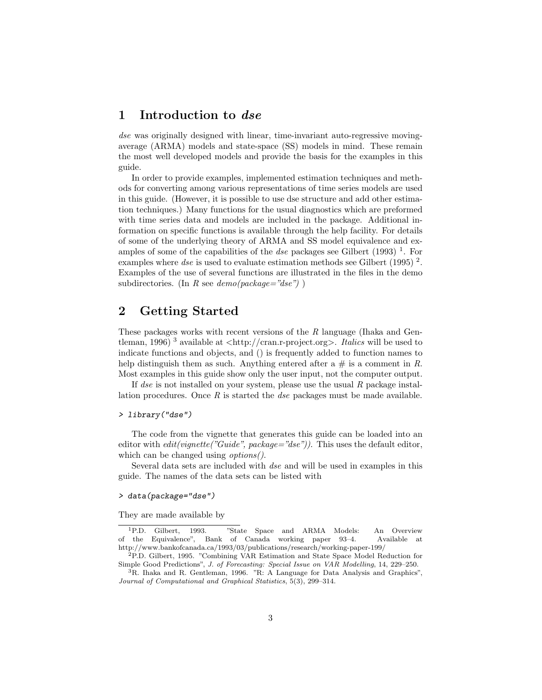## 1 Introduction to dse

dse was originally designed with linear, time-invariant auto-regressive movingaverage (ARMA) models and state-space (SS) models in mind. These remain the most well developed models and provide the basis for the examples in this guide.

In order to provide examples, implemented estimation techniques and methods for converting among various representations of time series models are used in this guide. (However, it is possible to use dse structure and add other estimation techniques.) Many functions for the usual diagnostics which are preformed with time series data and models are included in the package. Additional information on specific functions is available through the help facility. For details of some of the underlying theory of ARMA and SS model equivalence and examples of some of the capabilities of the *dse* packages see Gilbert  $(1993)$ <sup>1</sup>. For examples where dse is used to evaluate estimation methods see Gilbert (1995)<sup>2</sup>. Examples of the use of several functions are illustrated in the files in the demo subdirectories. (In R see  $demo(package="dse")$ )

# 2 Getting Started

These packages works with recent versions of the R language (Ihaka and Gentleman, 1996)<sup>3</sup> available at  $\langle \text{http://cran.r-project.org>}.$  Italics will be used to indicate functions and objects, and () is frequently added to function names to help distinguish them as such. Anything entered after a  $\#$  is a comment in R. Most examples in this guide show only the user input, not the computer output.

If dse is not installed on your system, please use the usual R package installation procedures. Once  $R$  is started the *dse* packages must be made available.

#### > library("dse")

The code from the vignette that generates this guide can be loaded into an editor with  $edit(vignette("Guide", package="dse"))$ . This uses the default editor, which can be changed using *options*.

Several data sets are included with dse and will be used in examples in this guide. The names of the data sets can be listed with

### > data(package="dse")

They are made available by

<sup>1</sup>P.D. Gilbert, 1993. "State Space and ARMA Models: An Overview of the Equivalence", Bank of Canada working paper 93–4. Available at http://www.bankofcanada.ca/1993/03/publications/research/working-paper-199/

<sup>2</sup>P.D. Gilbert, 1995. "Combining VAR Estimation and State Space Model Reduction for Simple Good Predictions", J. of Forecasting: Special Issue on VAR Modelling, 14, 229–250.

<sup>3</sup>R. Ihaka and R. Gentleman, 1996. "R: A Language for Data Analysis and Graphics", Journal of Computational and Graphical Statistics, 5(3), 299–314.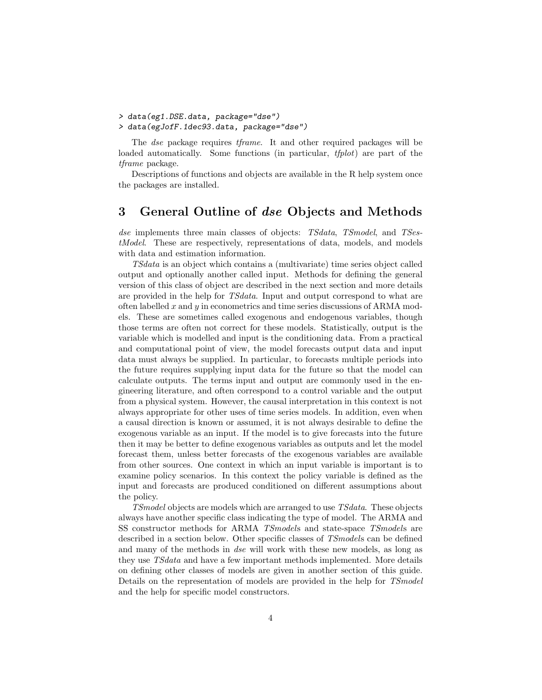- > data(eg1.DSE.data, package="dse")
- > data(egJofF.1dec93.data, package="dse")

The dse package requires tframe. It and other required packages will be loaded automatically. Some functions (in particular, *tfplot*) are part of the tframe package.

Descriptions of functions and objects are available in the R help system once the packages are installed.

## 3 General Outline of dse Objects and Methods

dse implements three main classes of objects: TSdata, TSmodel, and TSestModel. These are respectively, representations of data, models, and models with data and estimation information.

TSdata is an object which contains a (multivariate) time series object called output and optionally another called input. Methods for defining the general version of this class of object are described in the next section and more details are provided in the help for TSdata. Input and output correspond to what are often labelled  $x$  and  $y$  in econometrics and time series discussions of ARMA models. These are sometimes called exogenous and endogenous variables, though those terms are often not correct for these models. Statistically, output is the variable which is modelled and input is the conditioning data. From a practical and computational point of view, the model forecasts output data and input data must always be supplied. In particular, to forecasts multiple periods into the future requires supplying input data for the future so that the model can calculate outputs. The terms input and output are commonly used in the engineering literature, and often correspond to a control variable and the output from a physical system. However, the causal interpretation in this context is not always appropriate for other uses of time series models. In addition, even when a causal direction is known or assumed, it is not always desirable to define the exogenous variable as an input. If the model is to give forecasts into the future then it may be better to define exogenous variables as outputs and let the model forecast them, unless better forecasts of the exogenous variables are available from other sources. One context in which an input variable is important is to examine policy scenarios. In this context the policy variable is defined as the input and forecasts are produced conditioned on different assumptions about the policy.

TSmodel objects are models which are arranged to use TSdata. These objects always have another specific class indicating the type of model. The ARMA and SS constructor methods for ARMA TSmodels and state-space TSmodels are described in a section below. Other specific classes of *TSmodels* can be defined and many of the methods in dse will work with these new models, as long as they use TSdata and have a few important methods implemented. More details on defining other classes of models are given in another section of this guide. Details on the representation of models are provided in the help for TSmodel and the help for specific model constructors.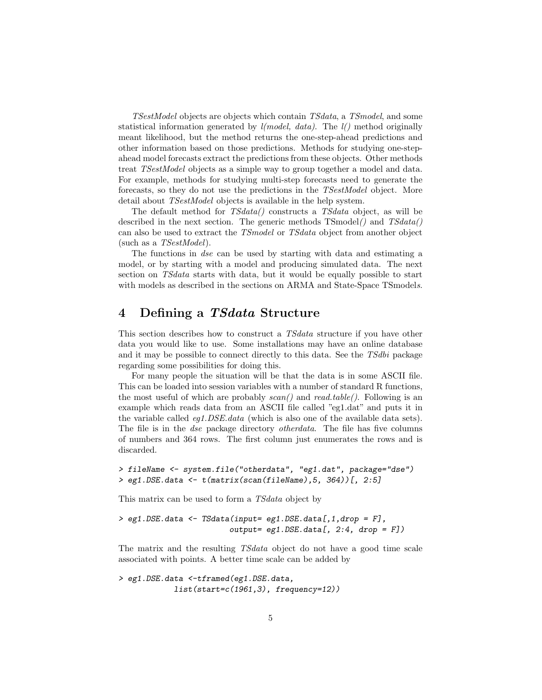TSestModel objects are objects which contain TSdata, a TSmodel, and some statistical information generated by  $l(model, data)$ . The  $l()$  method originally meant likelihood, but the method returns the one-step-ahead predictions and other information based on those predictions. Methods for studying one-stepahead model forecasts extract the predictions from these objects. Other methods treat TSestModel objects as a simple way to group together a model and data. For example, methods for studying multi-step forecasts need to generate the forecasts, so they do not use the predictions in the TSestModel object. More detail about *TSestModel* objects is available in the help system.

The default method for TSdata() constructs a TSdata object, as will be described in the next section. The generic methods  $TSmodel()$  and  $TSdata()$ can also be used to extract the TSmodel or TSdata object from another object (such as a TSestModel).

The functions in dse can be used by starting with data and estimating a model, or by starting with a model and producing simulated data. The next section on TSdata starts with data, but it would be equally possible to start with models as described in the sections on ARMA and State-Space TSmodels.

# 4 Defining a TSdata Structure

This section describes how to construct a *TSdata* structure if you have other data you would like to use. Some installations may have an online database and it may be possible to connect directly to this data. See the TSdbi package regarding some possibilities for doing this.

For many people the situation will be that the data is in some ASCII file. This can be loaded into session variables with a number of standard R functions, the most useful of which are probably  $scan()$  and  $read_table()$ . Following is an example which reads data from an ASCII file called "eg1.dat" and puts it in the variable called *eg1.DSE.data* (which is also one of the available data sets). The file is in the dse package directory otherdata. The file has five columns of numbers and 364 rows. The first column just enumerates the rows and is discarded.

```
> fileName <- system.file("otherdata", "eg1.dat", package="dse")
> eg1.DSE.data <- t(matrix(scan(fileName),5, 364))[, 2:5]
```
This matrix can be used to form a TSdata object by

> eg1.DSE.data <- TSdata(input= eg1.DSE.data[,1,drop = F],  $output = eg1.DSE.data[, 2:4, drop = F])$ 

The matrix and the resulting TSdata object do not have a good time scale associated with points. A better time scale can be added by

> eg1.DSE.data <-tframed(eg1.DSE.data,  $list(start=c(1961,3), frequency=12)$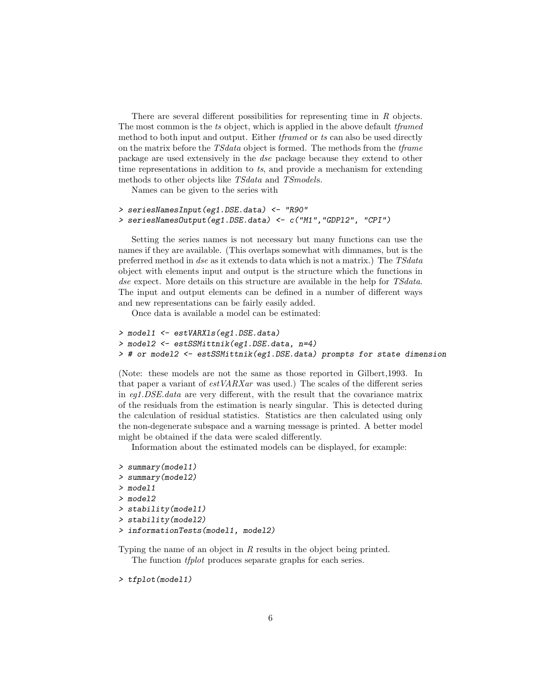There are several different possibilities for representing time in R objects. The most common is the ts object, which is applied in the above default tframed method to both input and output. Either tframed or ts can also be used directly on the matrix before the TSdata object is formed. The methods from the tframe package are used extensively in the dse package because they extend to other time representations in addition to ts, and provide a mechanism for extending methods to other objects like TSdata and TSmodels.

Names can be given to the series with

```
> seriesNamesInput(eg1.DSE.data) <- "R90"
> seriesNamesOutput(eg1.DSE.data) <- c("M1","GDPl2", "CPI")
```
Setting the series names is not necessary but many functions can use the names if they are available. (This overlaps somewhat with dimnames, but is the preferred method in dse as it extends to data which is not a matrix.) The TSdata object with elements input and output is the structure which the functions in dse expect. More details on this structure are available in the help for TSdata. The input and output elements can be defined in a number of different ways and new representations can be fairly easily added.

Once data is available a model can be estimated:

```
> model1 <- estVARXls(eg1.DSE.data)
> model2 <- estSSMittnik(eg1.DSE.data, n=4)
> # or model2 <- estSSMittnik(eg1.DSE.data) prompts for state dimension
```
(Note: these models are not the same as those reported in Gilbert,1993. In that paper a variant of estVARXar was used.) The scales of the different series in eg1.DSE.data are very different, with the result that the covariance matrix of the residuals from the estimation is nearly singular. This is detected during the calculation of residual statistics. Statistics are then calculated using only the non-degenerate subspace and a warning message is printed. A better model might be obtained if the data were scaled differently.

Information about the estimated models can be displayed, for example:

```
> summary(model1)
> summary(model2)
> model1
> model2
> stability(model1)
> stability(model2)
> informationTests(model1, model2)
```
Typing the name of an object in R results in the object being printed. The function *tfplot* produces separate graphs for each series.

> tfplot(model1)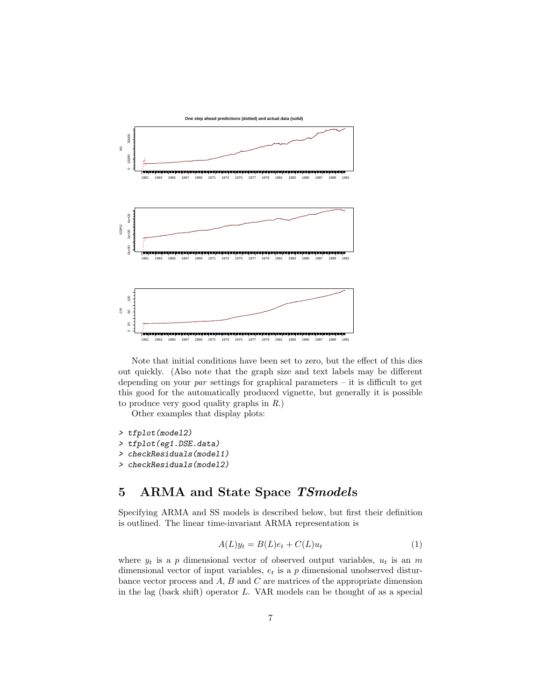

Note that initial conditions have been set to zero, but the effect of this dies out quickly. (Also note that the graph size and text labels may be different depending on your par settings for graphical parameters – it is difficult to get this good for the automatically produced vignette, but generally it is possible to produce very good quality graphs in R.)

Other examples that display plots:

- > tfplot(model2)
- > tfplot(eg1.DSE.data)
- > checkResiduals(model1)
- > checkResiduals(model2)

# 5 ARMA and State Space TSmodels

Specifying ARMA and SS models is described below, but first their definition is outlined. The linear time-invariant ARMA representation is

$$
A(L)y_t = B(L)e_t + C(L)u_t
$$
\n<sup>(1)</sup>

where  $y_t$  is a p dimensional vector of observed output variables,  $u_t$  is an m dimensional vector of input variables,  $e_t$  is a p dimensional unobserved disturbance vector process and  $A$ ,  $B$  and  $C$  are matrices of the appropriate dimension in the lag (back shift) operator L. VAR models can be thought of as a special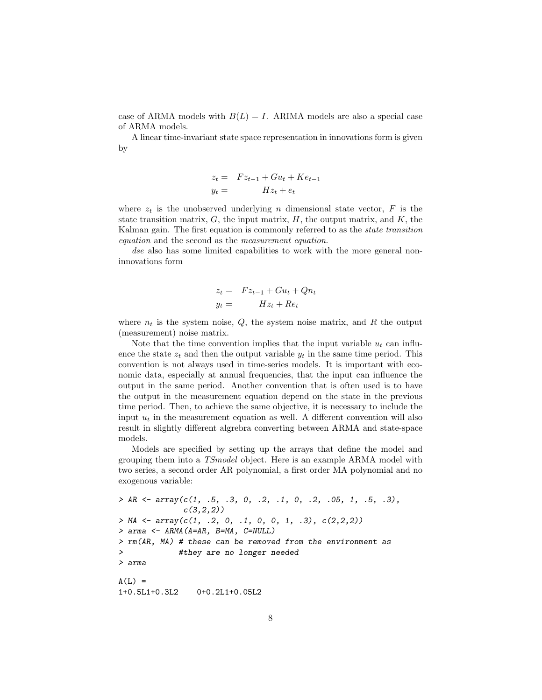case of ARMA models with  $B(L) = I$ . ARIMA models are also a special case of ARMA models.

A linear time-invariant state space representation in innovations form is given by

$$
z_t = Fz_{t-1} + Gu_t + Ke_{t-1}
$$
  

$$
y_t = Hz_t + e_t
$$

where  $z_t$  is the unobserved underlying n dimensional state vector, F is the state transition matrix,  $G$ , the input matrix,  $H$ , the output matrix, and  $K$ , the Kalman gain. The first equation is commonly referred to as the state transition equation and the second as the measurement equation.

dse also has some limited capabilities to work with the more general noninnovations form

$$
z_t = Fz_{t-1} + Gu_t + Qn_t
$$
  

$$
y_t = Hz_t + Re_t
$$

where  $n_t$  is the system noise,  $Q$ , the system noise matrix, and R the output (measurement) noise matrix.

Note that the time convention implies that the input variable  $u_t$  can influence the state  $z_t$  and then the output variable  $y_t$  in the same time period. This convention is not always used in time-series models. It is important with economic data, especially at annual frequencies, that the input can influence the output in the same period. Another convention that is often used is to have the output in the measurement equation depend on the state in the previous time period. Then, to achieve the same objective, it is necessary to include the input  $u_t$  in the measurement equation as well. A different convention will also result in slightly different algrebra converting between ARMA and state-space models.

Models are specified by setting up the arrays that define the model and grouping them into a TSmodel object. Here is an example ARMA model with two series, a second order AR polynomial, a first order MA polynomial and no exogenous variable:

```
> AR <- array(c(1, .5, .3, 0, .2, .1, 0, .2, .05, 1, .5, .3),
             c(3,2,2)> MA <- array(c(1, .2, 0, .1, 0, 0, 1, .3), c(2,2,2))> arma <- ARMA(A=AR, B=MA, C=NULL)
> rm(AR, MA) # these can be removed from the environment as
> #they are no longer needed
> arma
A(L) =
1+0.5L1+0.3L2 0+0.2L1+0.05L2
```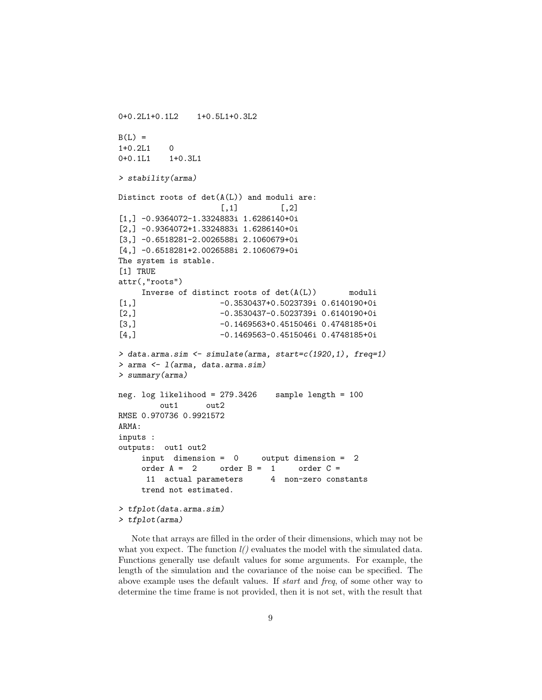```
0+0.2L1+0.1L2 1+0.5L1+0.3L2
B(L) =
1+0.2L1 0
0+0.1L1 1+0.3L1
> stability(arma)
Distinct roots of det(A(L)) and moduli are:
                    [ , 1] [ , 2][1,] -0.9364072-1.3324883i 1.6286140+0i
[2,] -0.9364072+1.3324883i 1.6286140+0i
[3,] -0.6518281-2.0026588i 2.1060679+0i
[4,] -0.6518281+2.0026588i 2.1060679+0i
The system is stable.
[1] TRUE
attr(,"roots")
    Inverse of distinct roots of det(A(L)) moduli
[1,] -0.3530437+0.5023739i 0.6140190+0i
[2,] -0.3530437-0.5023739i 0.6140190+0i
[3,] -0.1469563+0.4515046i 0.4748185+0i
[4,] -0.1469563-0.4515046i 0.4748185+0i
> data.arma.sim <- simulate(arma, start=c(1920,1), freq=1)
> arma <- l(arma, data.arma.sim)
> summary(arma)
neg. log likelihood = 279.3426 sample length = 100
        out1 out2
RMSE 0.970736 0.9921572
ARMA:
inputs :
outputs: out1 out2
    input dimension = 0 output dimension = 2
    order A = 2 order B = 1 order C =11 actual parameters 4 non-zero constants
    trend not estimated.
> tfplot(data.arma.sim)
> tfplot(arma)
```
Note that arrays are filled in the order of their dimensions, which may not be what you expect. The function  $l()$  evaluates the model with the simulated data. Functions generally use default values for some arguments. For example, the length of the simulation and the covariance of the noise can be specified. The above example uses the default values. If start and freq, of some other way to determine the time frame is not provided, then it is not set, with the result that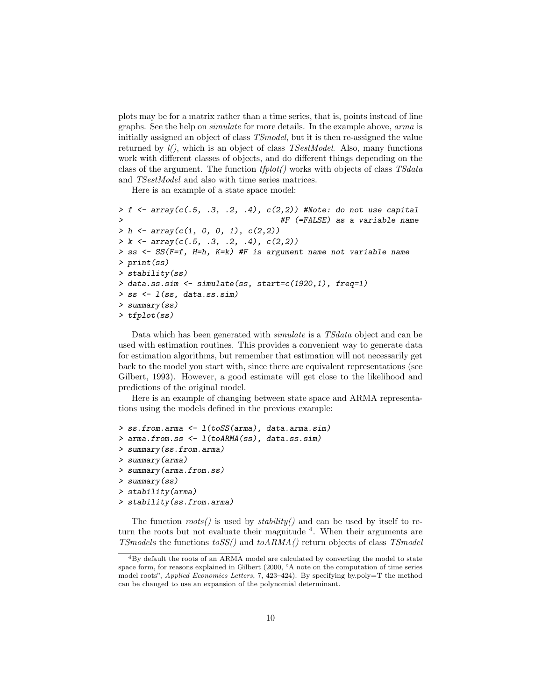plots may be for a matrix rather than a time series, that is, points instead of line graphs. See the help on simulate for more details. In the example above, arma is initially assigned an object of class TSmodel, but it is then re-assigned the value returned by  $l$ , which is an object of class *TSestModel*. Also, many functions work with different classes of objects, and do different things depending on the class of the argument. The function tfplot() works with objects of class TSdata and TSestModel and also with time series matrices.

Here is an example of a state space model:

```
> f <- array(c(.5, .3, .2, .4), c(2,2)) #Note: do not use capital
                                      > #F (=FALSE) as a variable name
> h \leq \text{array}(c(1, 0, 0, 1), c(2,2))> k \leftarrow \text{array}(c(.5, .3, .2, .4), c(2,2))> ss <- SS(F=f, H=h, K=k) #F is argument name not variable name
> print(ss)
> stability(ss)
> data.ss.sim <- simulate(ss, start=c(1920,1), freq=1)
> ss \leq 1(ss, data.ss.sim)
> summary(ss)
> tfplot(ss)
```
Data which has been generated with simulate is a TSdata object and can be used with estimation routines. This provides a convenient way to generate data for estimation algorithms, but remember that estimation will not necessarily get back to the model you start with, since there are equivalent representations (see Gilbert, 1993). However, a good estimate will get close to the likelihood and predictions of the original model.

Here is an example of changing between state space and ARMA representations using the models defined in the previous example:

```
> ss.from.arma <- l(toSS(arma), data.arma.sim)
> arma.from.ss <- l(toARMA(ss), data.ss.sim)
> summary(ss.from.arma)
> summary(arma)
> summary(arma.from.ss)
> summary(ss)
> stability(arma)
> stability(ss.from.arma)
```
The function  $roots()$  is used by  $stability()$  and can be used by itself to return the roots but not evaluate their magnitude <sup>4</sup>. When their arguments are TSmodels the functions  $\text{toSS}(t)$  and  $\text{toARMA}(t)$  return objects of class TSmodel

<sup>4</sup>By default the roots of an ARMA model are calculated by converting the model to state space form, for reasons explained in Gilbert (2000, "A note on the computation of time series model roots", Applied Economics Letters, 7, 423-424). By specifying by.poly=T the method can be changed to use an expansion of the polynomial determinant.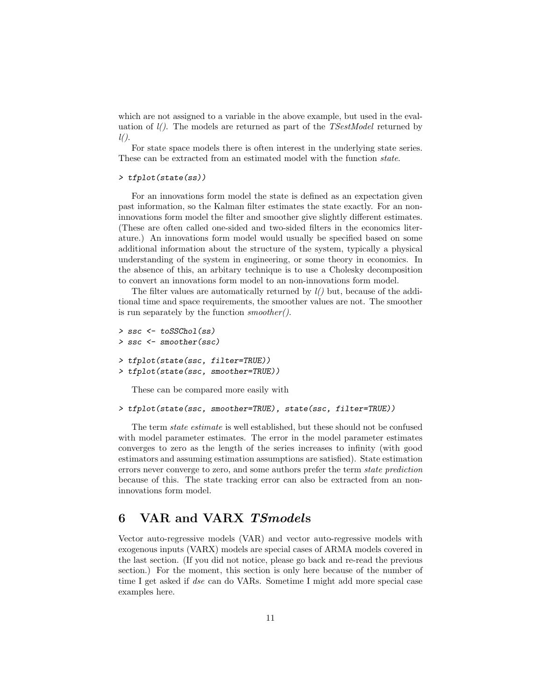which are not assigned to a variable in the above example, but used in the evaluation of  $l$ . The models are returned as part of the *TSestModel* returned by  $l()$ .

For state space models there is often interest in the underlying state series. These can be extracted from an estimated model with the function state.

#### > tfplot(state(ss))

For an innovations form model the state is defined as an expectation given past information, so the Kalman filter estimates the state exactly. For an noninnovations form model the filter and smoother give slightly different estimates. (These are often called one-sided and two-sided filters in the economics literature.) An innovations form model would usually be specified based on some additional information about the structure of the system, typically a physical understanding of the system in engineering, or some theory in economics. In the absence of this, an arbitary technique is to use a Cholesky decomposition to convert an innovations form model to an non-innovations form model.

The filter values are automatically returned by  $l()$  but, because of the additional time and space requirements, the smoother values are not. The smoother is run separately by the function smoother().

```
> ssc <- toSSChol(ss)
> ssc <- smoother(ssc)
> tfplot(state(ssc, filter=TRUE))
> tfplot(state(ssc, smoother=TRUE))
```
These can be compared more easily with

#### > tfplot(state(ssc, smoother=TRUE), state(ssc, filter=TRUE))

The term state estimate is well established, but these should not be confused with model parameter estimates. The error in the model parameter estimates converges to zero as the length of the series increases to infinity (with good estimators and assuming estimation assumptions are satisfied). State estimation errors never converge to zero, and some authors prefer the term state prediction because of this. The state tracking error can also be extracted from an noninnovations form model.

# 6 VAR and VARX TSmodels

Vector auto-regressive models (VAR) and vector auto-regressive models with exogenous inputs (VARX) models are special cases of ARMA models covered in the last section. (If you did not notice, please go back and re-read the previous section.) For the moment, this section is only here because of the number of time I get asked if dse can do VARs. Sometime I might add more special case examples here.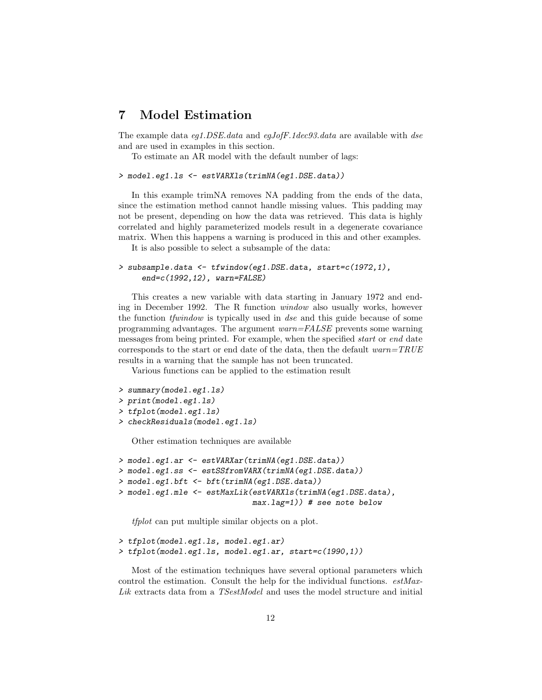# 7 Model Estimation

The example data eg1.DSE.data and egJofF.1dec93.data are available with dse and are used in examples in this section.

To estimate an AR model with the default number of lags:

```
> model.eg1.ls <- estVARXls(trimNA(eg1.DSE.data))
```
In this example trimNA removes NA padding from the ends of the data, since the estimation method cannot handle missing values. This padding may not be present, depending on how the data was retrieved. This data is highly correlated and highly parameterized models result in a degenerate covariance matrix. When this happens a warning is produced in this and other examples.

It is also possible to select a subsample of the data:

```
> subsample.data <- tfwindow(eg1.DSE.data, start=c(1972,1),
     end=c(1992,12), warn=FALSE)
```
This creates a new variable with data starting in January 1972 and ending in December 1992. The R function window also usually works, however the function tfwindow is typically used in dse and this guide because of some programming advantages. The argument warn=FALSE prevents some warning messages from being printed. For example, when the specified start or end date corresponds to the start or end date of the data, then the default  $warm = TRUE$ results in a warning that the sample has not been truncated.

Various functions can be applied to the estimation result

```
> summary(model.eg1.ls)
```

```
> print(model.eg1.ls)
```

```
> tfplot(model.eg1.ls)
```
> checkResiduals(model.eg1.ls)

Other estimation techniques are available

```
> model.eg1.ar <- estVARXar(trimNA(eg1.DSE.data))
> model.eg1.ss <- estSSfromVARX(trimNA(eg1.DSE.data))
> model.eg1.bft <- bft(trimNA(eg1.DSE.data))
> model.eg1.mle <- estMaxLik(estVARXls(trimNA(eg1.DSE.data),
                             max.lag=1)) # see note below
```
tfplot can put multiple similar objects on a plot.

```
> tfplot(model.eg1.ls, model.eg1.ar)
> tfplot(model.eg1.ls, model.eg1.ar, start=c(1990,1))
```
Most of the estimation techniques have several optional parameters which control the estimation. Consult the help for the individual functions.  $estMax$ -Lik extracts data from a TSestModel and uses the model structure and initial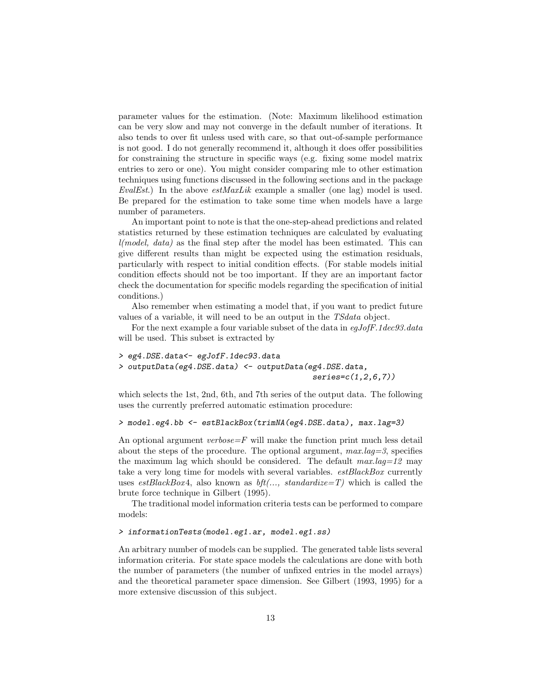parameter values for the estimation. (Note: Maximum likelihood estimation can be very slow and may not converge in the default number of iterations. It also tends to over fit unless used with care, so that out-of-sample performance is not good. I do not generally recommend it, although it does offer possibilities for constraining the structure in specific ways (e.g. fixing some model matrix entries to zero or one). You might consider comparing mle to other estimation techniques using functions discussed in the following sections and in the package EvalEst.) In the above  $estMaxLik$  example a smaller (one lag) model is used. Be prepared for the estimation to take some time when models have a large number of parameters.

An important point to note is that the one-step-ahead predictions and related statistics returned by these estimation techniques are calculated by evaluating  $l(model, data)$  as the final step after the model has been estimated. This can give different results than might be expected using the estimation residuals, particularly with respect to initial condition effects. (For stable models initial condition effects should not be too important. If they are an important factor check the documentation for specific models regarding the specification of initial conditions.)

Also remember when estimating a model that, if you want to predict future values of a variable, it will need to be an output in the TSdata object.

For the next example a four variable subset of the data in egJofF.1dec93.data will be used. This subset is extracted by

```
> eg4.DSE.data<- egJofF.1dec93.data
> outputData(eg4.DSE.data) <- outputData(eg4.DSE.data,
                                           series = c(1, 2, 6, 7)
```
which selects the 1st, 2nd, 6th, and 7th series of the output data. The following uses the currently preferred automatic estimation procedure:

#### > model.eg4.bb <- estBlackBox(trimNA(eg4.DSE.data), max.lag=3)

An optional argument *verbose*= $F$  will make the function print much less detail about the steps of the procedure. The optional argument,  $max.lag=3$ , specifies the maximum lag which should be considered. The default  $max.lag=12$  may take a very long time for models with several variables.  $estBlackBox$  currently uses estBlackBox4, also known as  $bf(..., standardize=T)$  which is called the brute force technique in Gilbert (1995).

The traditional model information criteria tests can be performed to compare models:

#### > informationTests(model.eg1.ar, model.eg1.ss)

An arbitrary number of models can be supplied. The generated table lists several information criteria. For state space models the calculations are done with both the number of parameters (the number of unfixed entries in the model arrays) and the theoretical parameter space dimension. See Gilbert (1993, 1995) for a more extensive discussion of this subject.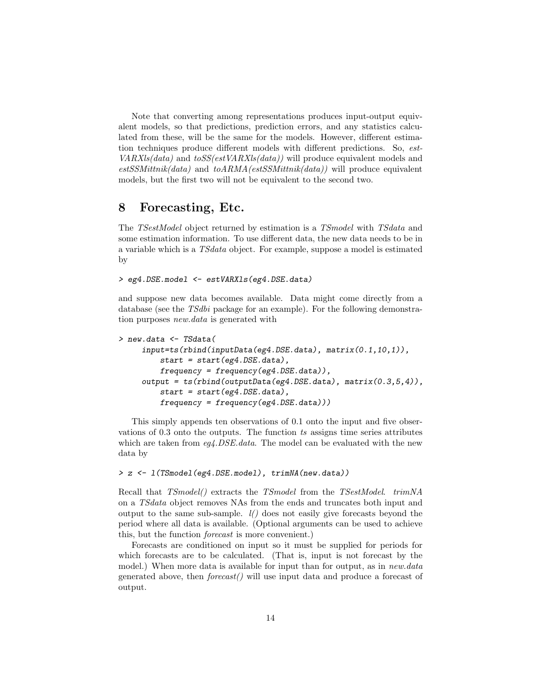Note that converting among representations produces input-output equivalent models, so that predictions, prediction errors, and any statistics calculated from these, will be the same for the models. However, different estimation techniques produce different models with different predictions. So, est- $VARXls(data)$  and  $toSS(estVARXls(data))$  will produce equivalent models and  $estSSMittnik(data)$  and  $toARMA(estSSMittnik(data))$  will produce equivalent models, but the first two will not be equivalent to the second two.

### 8 Forecasting, Etc.

The TSestModel object returned by estimation is a TSmodel with TSdata and some estimation information. To use different data, the new data needs to be in a variable which is a TSdata object. For example, suppose a model is estimated by

> eg4.DSE.model <- estVARXls(eg4.DSE.data)

and suppose new data becomes available. Data might come directly from a database (see the TSdbi package for an example). For the following demonstration purposes new.data is generated with

```
> new.data <- TSdata(
     input=ts(rbind(inputData(eg4.DSE.data), matrix(0.1,10,1)),
         start = start(eg4.DSE.data),
         frequency = frequency(eq4.DSE.data)),
     output = ts(rbind(outputData(eq4.DSE.data), matrix(0.3,5,4)),start = start(eq4.DSE.data),
         frequency = frequency(eg4.DSE.data)))
```
This simply appends ten observations of 0.1 onto the input and five observations of 0.3 onto the outputs. The function ts assigns time series attributes which are taken from  $eq4. DSE.data$ . The model can be evaluated with the new data by

#### > z <- l(TSmodel(eg4.DSE.model), trimNA(new.data))

Recall that  $TSmodel()$  extracts the TSmodel from the TSestModel. trimNA on a TSdata object removes NAs from the ends and truncates both input and output to the same sub-sample.  $l()$  does not easily give forecasts beyond the period where all data is available. (Optional arguments can be used to achieve this, but the function forecast is more convenient.)

Forecasts are conditioned on input so it must be supplied for periods for which forecasts are to be calculated. (That is, input is not forecast by the model.) When more data is available for input than for output, as in *new.data* generated above, then  $forecast()$  will use input data and produce a forecast of output.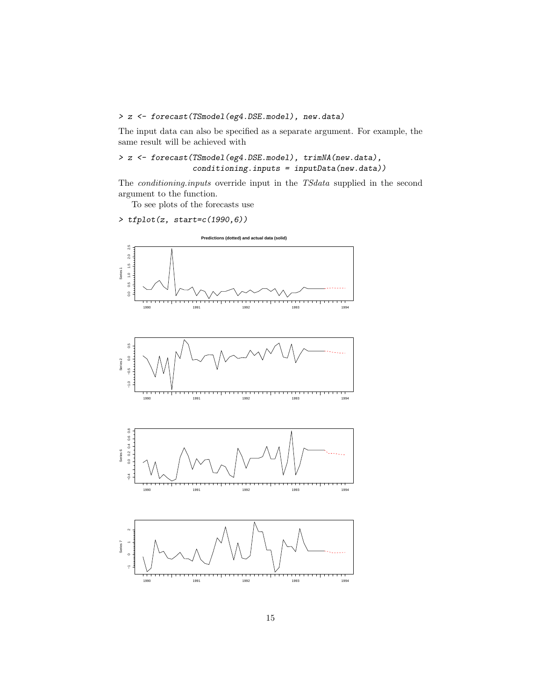## > z <- forecast(TSmodel(eg4.DSE.model), new.data)

The input data can also be specified as a separate argument. For example, the same result will be achieved with

> z <- forecast(TSmodel(eg4.DSE.model), trimNA(new.data), conditioning.inputs = inputData(new.data))

The conditioning.inputs override input in the TSdata supplied in the second argument to the function.

To see plots of the forecasts use

### > tfplot(z, start=c(1990,6))

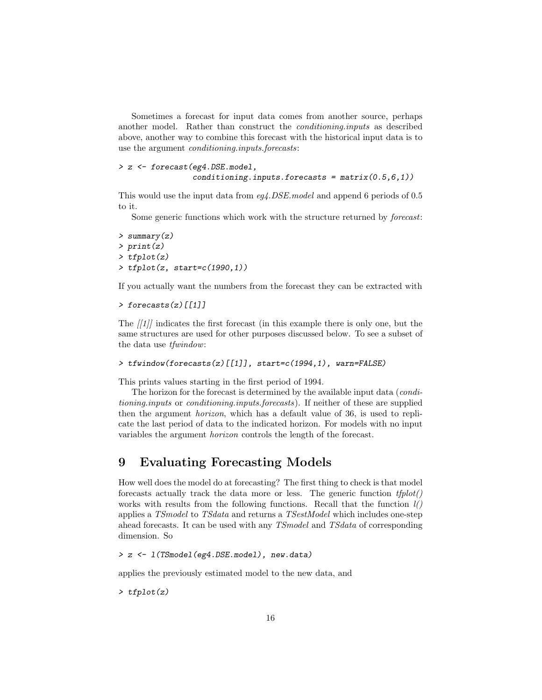Sometimes a forecast for input data comes from another source, perhaps another model. Rather than construct the conditioning.inputs as described above, another way to combine this forecast with the historical input data is to use the argument conditioning.inputs.forecasts:

```
> z <- forecast(eg4.DSE.model,
                conditioning.inputs.forecasts = matrix(0.5,6,1))
```
This would use the input data from eq. *DSE*. model and append 6 periods of 0.5 to it.

Some generic functions which work with the structure returned by forecast:

```
> summary(z)
> print(z)
> tfplot(z)
> tfplot(z, start=c(1990,1))
```
If you actually want the numbers from the forecast they can be extracted with

```
> forecasts(z)[[1]]
```
The  $||1||$  indicates the first forecast (in this example there is only one, but the same structures are used for other purposes discussed below. To see a subset of the data use tfwindow:

```
> tfwindow(forecasts(z)[[1]], start=c(1994,1), warn=FALSE)
```
This prints values starting in the first period of 1994.

The horizon for the forecast is determined by the available input data (*condi*tioning.inputs or conditioning.inputs.forecasts). If neither of these are supplied then the argument horizon, which has a default value of 36, is used to replicate the last period of data to the indicated horizon. For models with no input variables the argument horizon controls the length of the forecast.

# 9 Evaluating Forecasting Models

How well does the model do at forecasting? The first thing to check is that model forecasts actually track the data more or less. The generic function  $tfplot()$ works with results from the following functions. Recall that the function  $l()$ applies a TSmodel to TSdata and returns a TSestModel which includes one-step ahead forecasts. It can be used with any TSmodel and TSdata of corresponding dimension. So

> z <- l(TSmodel(eg4.DSE.model), new.data)

applies the previously estimated model to the new data, and

> tfplot(z)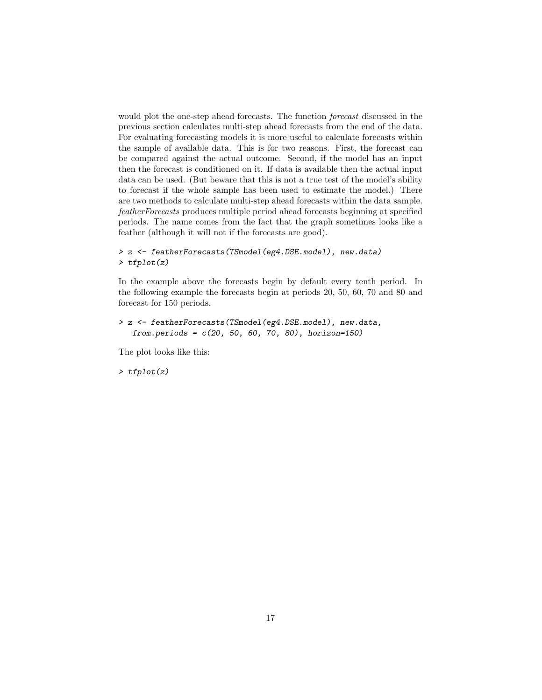would plot the one-step ahead forecasts. The function forecast discussed in the previous section calculates multi-step ahead forecasts from the end of the data. For evaluating forecasting models it is more useful to calculate forecasts within the sample of available data. This is for two reasons. First, the forecast can be compared against the actual outcome. Second, if the model has an input then the forecast is conditioned on it. If data is available then the actual input data can be used. (But beware that this is not a true test of the model's ability to forecast if the whole sample has been used to estimate the model.) There are two methods to calculate multi-step ahead forecasts within the data sample. featherForecasts produces multiple period ahead forecasts beginning at specified periods. The name comes from the fact that the graph sometimes looks like a feather (although it will not if the forecasts are good).

```
> z <- featherForecasts(TSmodel(eg4.DSE.model), new.data)
> tfplot(z)
```
In the example above the forecasts begin by default every tenth period. In the following example the forecasts begin at periods 20, 50, 60, 70 and 80 and forecast for 150 periods.

```
> z <- featherForecasts(TSmodel(eg4.DSE.model), new.data,
   from.periods = c(20, 50, 60, 70, 80), horizon=150)
```
The plot looks like this:

> tfplot(z)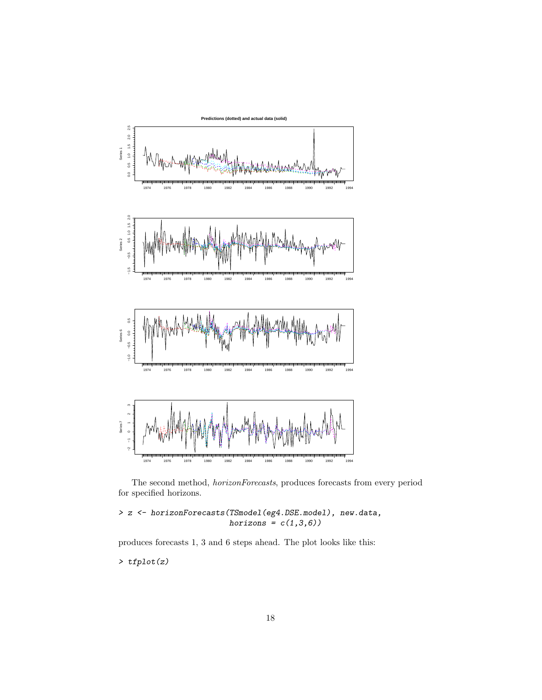

The second method, horizonForecasts, produces forecasts from every period for specified horizons.

> z <- horizonForecasts(TSmodel(eg4.DSE.model), new.data,  $horizons = c(1,3,6))$ 

produces forecasts 1, 3 and 6 steps ahead. The plot looks like this:

> tfplot(z)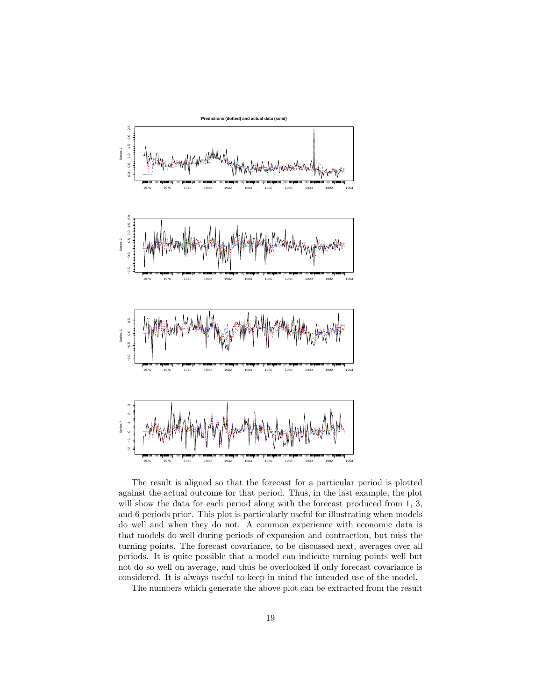

The result is aligned so that the forecast for a particular period is plotted against the actual outcome for that period. Thus, in the last example, the plot will show the data for each period along with the forecast produced from 1, 3, and 6 periods prior. This plot is particularly useful for illustrating when models do well and when they do not. A common experience with economic data is that models do well during periods of expansion and contraction, but miss the turning points. The forecast covariance, to be discussed next, averages over all periods. It is quite possible that a model can indicate turning points well but not do so well on average, and thus be overlooked if only forecast covariance is considered. It is always useful to keep in mind the intended use of the model.

The numbers which generate the above plot can be extracted from the result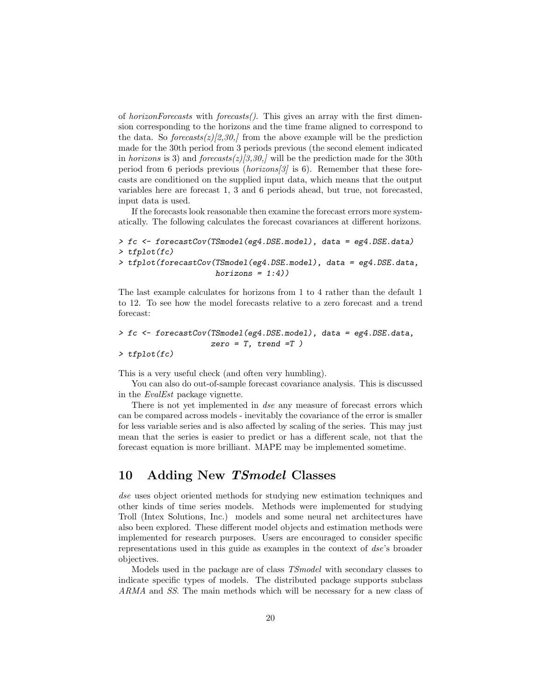of horizonForecasts with forecasts(). This gives an array with the first dimension corresponding to the horizons and the time frame aligned to correspond to the data. So forecasts $(z)[2,30]$  from the above example will be the prediction made for the 30th period from 3 periods previous (the second element indicated in horizons is 3) and forecasts $(z)/3,30$ , will be the prediction made for the 30th period from 6 periods previous (*horizons*[3] is 6). Remember that these forecasts are conditioned on the supplied input data, which means that the output variables here are forecast 1, 3 and 6 periods ahead, but true, not forecasted, input data is used.

If the forecasts look reasonable then examine the forecast errors more systematically. The following calculates the forecast covariances at different horizons.

```
> fc <- forecastCov(TSmodel(eg4.DSE.model), data = eg4.DSE.data)
> tfplot(fc)
> tfplot(forecastCov(TSmodel(eg4.DSE.model), data = eg4.DSE.data,
                     horizons = 1:4)
```
The last example calculates for horizons from 1 to 4 rather than the default 1 to 12. To see how the model forecasts relative to a zero forecast and a trend forecast:

```
> fc <- forecastCov(TSmodel(eg4.DSE.model), data = eg4.DSE.data,
                    zero = T, trend = T)
> tfplot(fc)
```
This is a very useful check (and often very humbling).

You can also do out-of-sample forecast covariance analysis. This is discussed in the EvalEst package vignette.

There is not yet implemented in dse any measure of forecast errors which can be compared across models - inevitably the covariance of the error is smaller for less variable series and is also affected by scaling of the series. This may just mean that the series is easier to predict or has a different scale, not that the forecast equation is more brilliant. MAPE may be implemented sometime.

# 10 Adding New TSmodel Classes

dse uses object oriented methods for studying new estimation techniques and other kinds of time series models. Methods were implemented for studying Troll (Intex Solutions, Inc.) models and some neural net architectures have also been explored. These different model objects and estimation methods were implemented for research purposes. Users are encouraged to consider specific representations used in this guide as examples in the context of dse's broader objectives.

Models used in the package are of class TSmodel with secondary classes to indicate specific types of models. The distributed package supports subclass ARMA and SS. The main methods which will be necessary for a new class of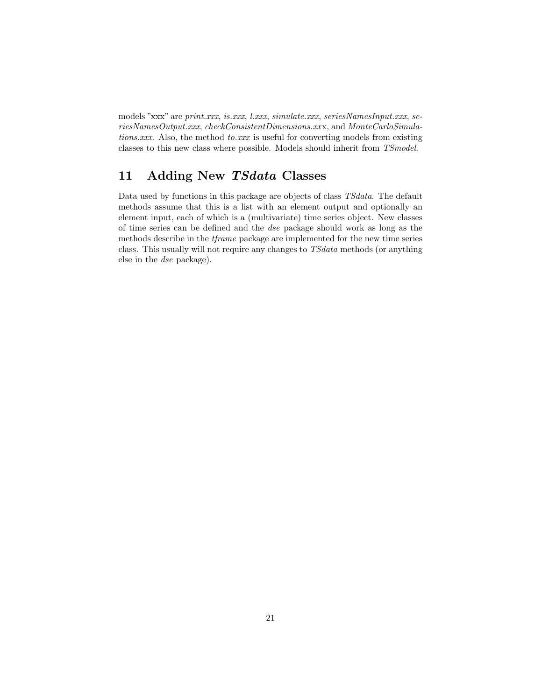models "xxx" are print.xxx, is.xxx, l.xxx, simulate.xxx, seriesNamesInput.xxx, seriesNamesOutput.xxx, checkConsistentDimensions.xxx, and MonteCarloSimulations.xxx. Also, the method to.xxx is useful for converting models from existing classes to this new class where possible. Models should inherit from TSmodel.

# 11 Adding New TSdata Classes

Data used by functions in this package are objects of class TSdata. The default methods assume that this is a list with an element output and optionally an element input, each of which is a (multivariate) time series object. New classes of time series can be defined and the dse package should work as long as the methods describe in the tframe package are implemented for the new time series class. This usually will not require any changes to TSdata methods (or anything else in the dse package).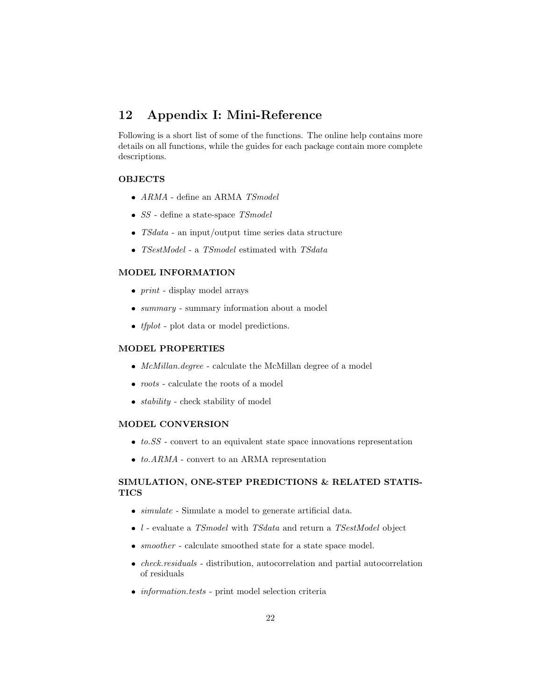# 12 Appendix I: Mini-Reference

Following is a short list of some of the functions. The online help contains more details on all functions, while the guides for each package contain more complete descriptions.

### **OBJECTS**

- $ARMA$  define an ARMA  $\emph{TSmodel}$
- $SS$  define a state-space  $TSmodel$
- TSdata an input/output time series data structure
- TSestModel a TSmodel estimated with  $TSdata$

### MODEL INFORMATION

- $print display$  display model arrays
- *summary* summary information about a model
- $\bullet$  *tfplot* plot data or model predictions.

### MODEL PROPERTIES

- $\bullet$   $\;McMillan.degree$  calculate the McMillan degree of a model
- $\bullet\ roots$  calculate the roots of a model
- $stability$  check stability of model

### MODEL CONVERSION

- $\bullet$  to.SS convert to an equivalent state space innovations representation
- $\bullet$  to. $ARMA$  convert to an ARMA representation

### SIMULATION, ONE-STEP PREDICTIONS & RELATED STATIS-**TICS**

- $\bullet$  simulate Simulate a model to generate artificial data.
- $\bullet$  *l* evaluate a *TSmodel* with *TSdata* and return a *TSestModel* object
- $\bullet\ smoother$  calculate smoothed state for a state space model.
- $\bullet$  *check.residuals* distribution, autocorrelation and partial autocorrelation of residuals
- $\bullet\ information.tests$  print model selection criteria